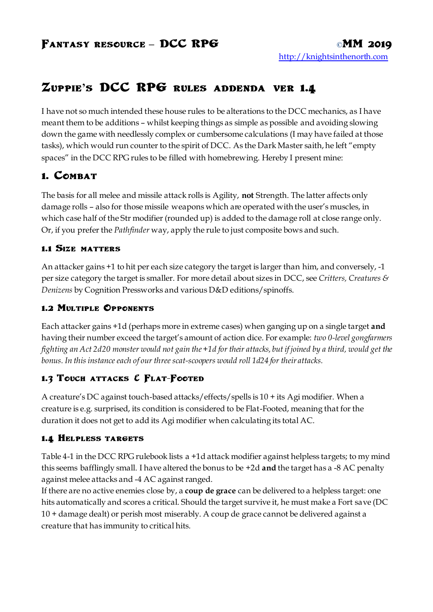# **Zuppie's DCC RPG rules addenda ver 1.4**

I have not so much intended these house rules to be alterations to the DCC mechanics, as I have meant them to be additions – whilst keeping things as simple as possible and avoiding slowing down the game with needlessly complex or cumbersome calculations (I may have failed at those tasks), which would run counter to the spirit of DCC. As the Dark Master saith, he left "empty spaces" in the DCC RPG rules to be filled with homebrewing. Hereby I present mine:

# **1. COMBAT**

The basis for all melee and missile attack rolls is Agility, **not** Strength. The latter affects only damage rolls – also for those missile weapons which are operated with the user's muscles, in which case half of the Str modifier (rounded up) is added to the damage roll at close range only. Or, if you prefer the *Pathfinder* way, apply the rule to just composite bows and such.

#### **1.1 Size matters**

An attacker gains +1 to hit per each size category the target is larger than him, and conversely, -1 per size category the target is smaller. For more detail about sizes in DCC, see *Critters, Creatures & Denizens* by Cognition Pressworks and various D&D editions/spinoffs.

# **1.2 Multiple Opponents**

Each attacker gains +1d (perhaps more in extreme cases) when ganging up on a single target **and** having their number exceed the target's amount of action dice. For example: *two 0-level gongfarmers fighting an Act 2d20 monster would not gain the +1d for their attacks, but if joined by a third, would get the bonus. In this instance each of our three scat-scoopers would roll 1d24 for their attacks.*

# **1.3 Touch attacks & Flat-Footed**

A creature's DC against touch-based attacks/effects/spells is 10 + its Agi modifier. When a creature is e.g. surprised, its condition is considered to be Flat-Footed, meaning that for the duration it does not get to add its Agi modifier when calculating its total AC.

# **1.4 Helpless targets**

Table 4-1 in the DCC RPG rulebook lists a +1d attack modifier against helpless targets; to my mind this seems bafflingly small. I have altered the bonus to be +2d **and** the target has a -8 AC penalty against melee attacks and -4 AC against ranged.

If there are no active enemies close by, a **coup de grace** can be delivered to a helpless target: one hits automatically and scores a critical. Should the target survive it, he must make a Fort save (DC 10 + damage dealt) or perish most miserably. A coup de grace cannot be delivered against a creature that has immunity to critical hits.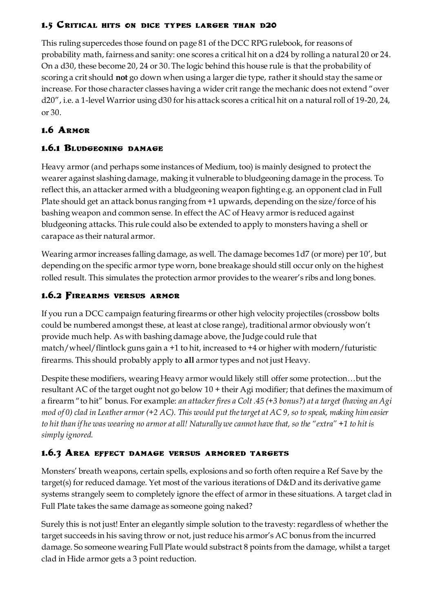#### **1.5 Critical hits on dice types larger than d20**

This ruling supercedes those found on page 81 of the DCC RPG rulebook, for reasons of probability math, fairness and sanity: one scores a critical hit on a d24 by rolling a natural 20 or 24. On a d30, these become 20, 24 or 30. The logic behind this house rule is that the probability of scoring a crit should **not** go down when using a larger die type, rather it should stay the same or increase. For those character classes having a wider crit range the mechanic does not extend "over d20", i.e. a 1-level Warrior using d30 for his attack scores a critical hit on a natural roll of 19-20, 24, or 30.

# **1.6 Armor**

# **1.6.1 Bludgeoning damage**

Heavy armor (and perhaps some instances of Medium, too) is mainly designed to protect the wearer against slashing damage, making it vulnerable to bludgeoning damage in the process. To reflect this, an attacker armed with a bludgeoning weapon fighting e.g. an opponent clad in Full Plate should get an attack bonus ranging from +1 upwards, depending on the size/force of his bashing weapon and common sense. In effect the AC of Heavy armor is reduced against bludgeoning attacks. This rule could also be extended to apply to monsters having a shell or carapace as their natural armor.

Wearing armor increases falling damage, as well. The damage becomes 1d7 (or more) per 10', but depending on the specific armor type worn, bone breakage should still occur only on the highest rolled result. This simulates the protection armor provides to the wearer's ribs and long bones.

# **1.6.2 Firearms versus armor**

If you run a DCC campaign featuring firearms or other high velocity projectiles (crossbow bolts could be numbered amongst these, at least at close range), traditional armor obviously won't provide much help. As with bashing damage above, the Judge could rule that match/wheel/flintlock guns gain a +1 to hit, increased to +4 or higher with modern/futuristic firearms. This should probably apply to **all** armor types and not just Heavy.

Despite these modifiers, wearing Heavy armor would likely still offer some protection…but the resultant AC of the target ought not go below 10 + their Agi modifier; that defines the maximum of a firearm "to hit" bonus. For example: *an attacker fires a Colt .45 (+3 bonus?) at a target (having an Agi mod of 0) clad in Leather armor (+2 AC). This would put the target at AC 9, so to speak, making him easier to hit than if he was wearing no armor at all! Naturally we cannot have that, so the "extra" +1 to hit is simply ignored.*

# **1.6.3 Area effect damage versus armored targets**

Monsters' breath weapons, certain spells, explosions and so forth often require a Ref Save by the target(s) for reduced damage. Yet most of the various iterations of D&D and its derivative game systems strangely seem to completely ignore the effect of armor in these situations. A target clad in Full Plate takes the same damage as someone going naked?

Surely this is not just! Enter an elegantly simple solution to the travesty: regardless of whether the target succeeds in his saving throw or not, just reduce his armor's AC bonus from the incurred damage. So someone wearing Full Plate would substract 8 points from the damage, whilst a target clad in Hide armor gets a 3 point reduction.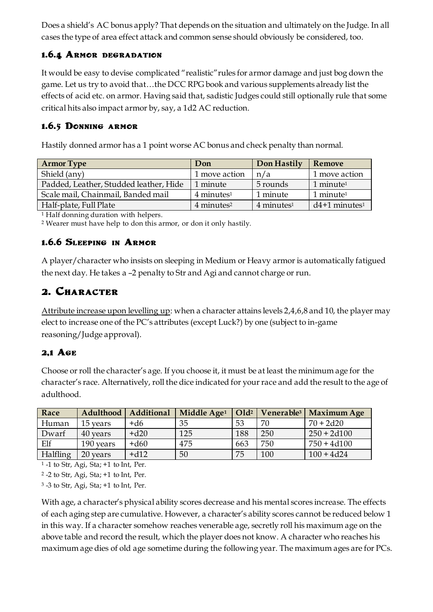Does a shield's AC bonus apply? That depends on the situation and ultimately on the Judge. In all cases the type of area effect attack and common sense should obviously be considered, too.

#### **1.6.4 Armor degradation**

It would be easy to devise complicated "realistic"rules for armor damage and just bog down the game. Let us try to avoid that…the DCC RPG book and various supplements already list the effects of acid etc. on armor. Having said that, sadistic Judges could still optionally rule that some critical hits also impact armor by, say, a 1d2 AC reduction.

#### **1.6.5 Donning armor**

Hastily donned armor has a 1 point worse AC bonus and check penalty than normal.

| <b>Armor Type</b>                      | Don                    | Don Hastily     | Remove                               |
|----------------------------------------|------------------------|-----------------|--------------------------------------|
| Shield (any)                           | 1 move action          | n/a             | 1 move action                        |
| Padded, Leather, Studded leather, Hide | 1 minute               | 5 rounds        | $1$ minute <sup><math>1</math></sup> |
| Scale mail, Chainmail, Banded mail     | $4$ minutes $1$        | 1 minute        | $1$ minute <sup><math>1</math></sup> |
| Half-plate, Full Plate                 | 4 minutes <sup>2</sup> | $4$ minutes $1$ | $d4+1$ minutes <sup>1</sup>          |
|                                        |                        |                 |                                      |

<sup>1</sup> Half donning duration with helpers.

<sup>2</sup> Wearer must have help to don this armor, or don it only hastily.

# **1.6.6 Sleeping in Armor**

A player/character who insists on sleeping in Medium or Heavy armor is automatically fatigued the next day. He takes a –2 penalty to Str and Agi and cannot charge or run.

# **2. Character**

Attribute increase upon levelling up: when a character attains levels 2,4,6,8 and 10, the player may elect to increase one of the PC's attributes (except Luck?) by one (subject to in-game reasoning/Judge approval).

# **2,1 Age**

Choose or roll the character's age. If you choose it, it must be at least the minimum age for the character's race. Alternatively, roll the dice indicated for your race and add the result to the age of adulthood.

| Race     | Adulthood | <b>Additional</b> | Middle Age <sup>1</sup> | Old <sup>2</sup> | Venerable <sup>3</sup> | <b>Maximum Age</b> |
|----------|-----------|-------------------|-------------------------|------------------|------------------------|--------------------|
| Human    | 15 years  | +d6               | 35                      | 53               | 70                     | $70 + 2d20$        |
| Dwarf    | 40 years  | $+d20$            | 125                     | 188              | 250                    | $250 + 2d100$      |
| Elf      | 190 years | $+d60$            | 475                     | 663              | 750                    | $750 + 4d100$      |
| Halfling | 20 years  | $+d12$            | 50                      | 75               | 100                    | $100 + 4d24$       |

<sup>1</sup> -1 to Str, Agi, Sta; +1 to Int, Per.

<sup>2</sup> -2 to Str, Agi, Sta; +1 to Int, Per.

<sup>3</sup> -3 to Str, Agi, Sta; +1 to Int, Per.

With age, a character's physical ability scores decrease and his mental scores increase. The effects of each aging step are cumulative. However, a character's ability scores cannot be reduced below 1 in this way. If a character somehow reaches venerable age, secretly roll his maximum age on the above table and record the result, which the player does not know. A character who reaches his maximum age dies of old age sometime during the following year. The maximum ages are for PCs.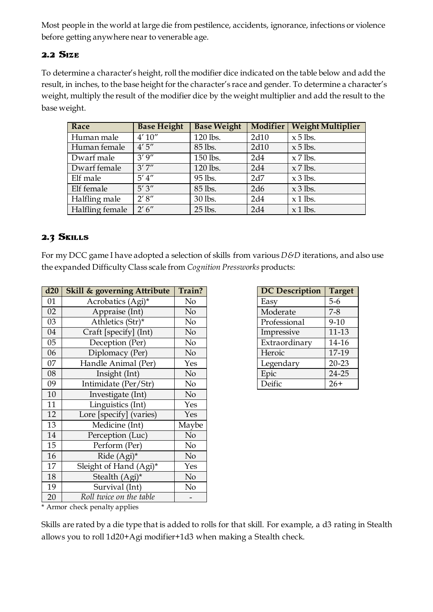Most people in the world at large die from pestilence, accidents, ignorance, infections or violence before getting anywhere near to venerable age.

#### **2.2 Size**

To determine a character's height, roll the modifier dice indicated on the table below and add the result, in inches, to the base height for the character's race and gender. To determine a character's weight, multiply the result of the modifier dice by the weight multiplier and add the result to the base weight.

| Race            | <b>Base Height</b> | <b>Base Weight</b> |      | Modifier   Weight Multiplier |
|-----------------|--------------------|--------------------|------|------------------------------|
| Human male      | 4'10''             | 120 lbs.           | 2d10 | $x 5$ lbs.                   |
| Human female    | 4'5''              | 85 lbs.            | 2d10 | $x 5$ lbs.                   |
| Dwarf male      | 3'9''              | 150 lbs.           | 2d4  | $x$ 7 lbs.                   |
| Dwarf female    | 3'7''              | 120 lbs.           | 2d4  | $x$ 7 lbs.                   |
| Elf male        | $5'$ 4"            | 95 lbs.            | 2d7  | $x 3$ lbs.                   |
| Elf female      | 5'3''              | 85 lbs.            | 2d6  | $x 3$ lbs.                   |
| Halfling male   | 2'8''              | 30 lbs.            | 2d4  | $x$ 1 lbs.                   |
| Halfling female | 2'6''              | 25 lbs.            | 2d4  | $x$ 1 lbs.                   |

# **2.3 Skills**

For my DCC game I have adopted a selection of skills from various *D&D* iterations, and also use the expanded Difficulty Class scale from *Cognition Pressworks* products:

| d20 | <b>Skill &amp; governing Attribute</b> | Train? |
|-----|----------------------------------------|--------|
| 01  | Acrobatics (Agi)*                      | No     |
| 02  | Appraise (Int)                         | No     |
| 03  | Athletics (Str)*                       | No     |
| 04  | Craft [specify] (Int)                  | No     |
| 05  | Deception (Per)                        | No     |
| 06  | Diplomacy (Per)                        | No     |
| 07  | Handle Animal (Per)                    | Yes    |
| 08  | Insight (Int)                          | No     |
| 09  | Intimidate (Per/Str)                   | No     |
| 10  | Investigate (Int)                      | No     |
| 11  | Linguistics (Int)                      | Yes    |
| 12  | Lore [specify] (varies)                | Yes    |
| 13  | Medicine (Int)                         | Maybe  |
| 14  | Perception (Luc)                       | No     |
| 15  | Perform (Per)                          | No     |
| 16  | Ride (Agi)*                            | No     |
| 17  | Sleight of Hand (Agi)*                 | Yes    |
| 18  | Stealth (Agi)*                         | No     |
| 19  | Survival (Int)                         | No     |
| 20  | Roll twice on the table                |        |

| <b>DC</b> Description | <b>Target</b> |
|-----------------------|---------------|
| Easy                  | $5-6$         |
| Moderate              | $7 - 8$       |
| Professional          | $9 - 10$      |
| Impressive            | 11-13         |
| Extraordinary         | 14-16         |
| Heroic                | 17-19         |
| Legendary             | $20 - 23$     |
| Epic                  | 24-25         |
| Deific                | $26+$         |

\* Armor check penalty applies

Skills are rated by a die type that is added to rolls for that skill. For example, a d3 rating in Stealth allows you to roll 1d20+Agi modifier+1d3 when making a Stealth check.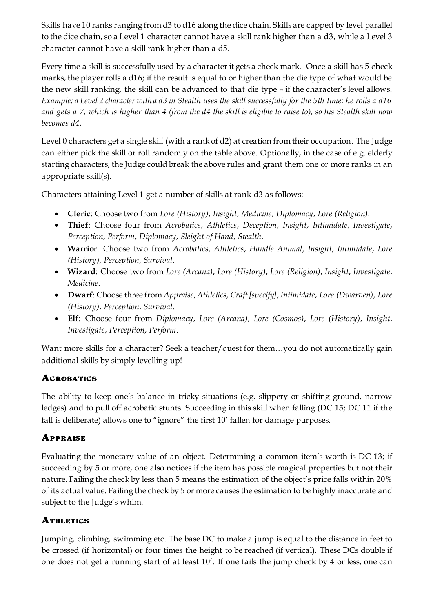Skills have 10 ranks ranging from d3 to d16 along the dice chain. Skills are capped by level parallel to the dice chain, so a Level 1 character cannot have a skill rank higher than a d3, while a Level 3 character cannot have a skill rank higher than a d5.

Every time a skill is successfully used by a character it gets a check mark. Once a skill has 5 check marks, the player rolls a d16; if the result is equal to or higher than the die type of what would be the new skill ranking, the skill can be advanced to that die type – if the character's level allows. *Example: a Level 2 character with a d3 in Stealth uses the skill successfully for the 5th time; he rolls a d16 and gets a 7, which is higher than 4 (from the d4 the skill is eligible to raise to), so his Stealth skill now becomes d4.*

Level 0 characters get a single skill (with a rank of d2) at creation from their occupation. The Judge can either pick the skill or roll randomly on the table above. Optionally, in the case of e.g. elderly starting characters, the Judge could break the above rules and grant them one or more ranks in an appropriate skill(s).

Characters attaining Level 1 get a number of skills at rank d3 as follows:

- **Cleric**: Choose two from *Lore (History)*, *Insight*, *Medicine*, *Diplomacy*, *Lore (Religion)*.
- **Thief**: Choose four from *Acrobatics*, *Athletics*, *Deception*, *Insight*, *Intimidate*, *Investigate*, *Perception*, *Perform*, *Diplomacy*, *Sleight of Hand*, *Stealth*.
- **Warrior**: Choose two from *Acrobatics*, *Athletics*, *Handle Animal*, *Insight*, *Intimidate*, *Lore (History)*, *Perception*, *Survival*.
- **Wizard**: Choose two from *Lore (Arcana)*, *Lore (History)*, *Lore (Religion)*, *Insight*, *Investigate*, *Medicine*.
- **Dwarf**: Choose three from *Appraise*, *Athletics*, *Craft [specify]*, *Intimidate*, *Lore (Dwarven)*, *Lore (History)*, *Perception*, *Survival*.
- **Elf**: Choose four from *Diplomacy*, *Lore (Arcana)*, *Lore (Cosmos)*, *Lore (History)*, *Insight*, *Investigate*, *Perception*, *Perform*.

Want more skills for a character? Seek a teacher/quest for them...you do not automatically gain additional skills by simply levelling up!

# **Acrobatics**

The ability to keep one's balance in tricky situations (e.g. slippery or shifting ground, narrow ledges) and to pull off acrobatic stunts. Succeeding in this skill when falling (DC 15; DC 11 if the fall is deliberate) allows one to "ignore" the first 10' fallen for damage purposes.

# **Appraise**

Evaluating the monetary value of an object. Determining a common item's worth is DC 13; if succeeding by 5 or more, one also notices if the item has possible magical properties but not their nature. Failing the check by less than 5 means the estimation of the object's price falls within 20% of its actual value. Failing the check by 5 or more causes the estimation to be highly inaccurate and subject to the Judge's whim.

# **ATHLETICS**

Jumping, climbing, swimming etc. The base DC to make a jump is equal to the distance in feet to be crossed (if horizontal) or four times the height to be reached (if vertical). These DCs double if one does not get a running start of at least 10'. If one fails the jump check by 4 or less, one can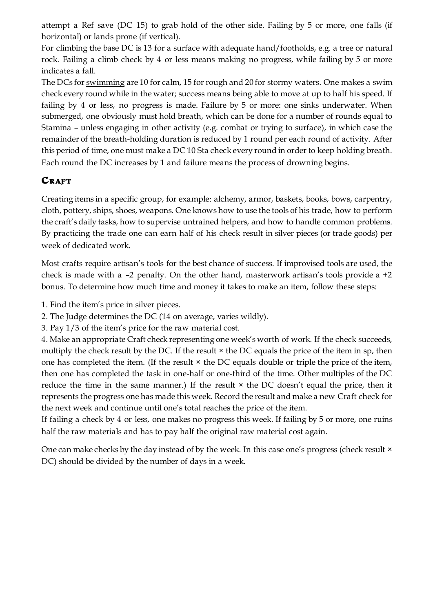attempt a Ref save (DC 15) to grab hold of the other side. Failing by 5 or more, one falls (if horizontal) or lands prone (if vertical).

For climbing the base DC is 13 for a surface with adequate hand/footholds, e.g. a tree or natural rock. Failing a climb check by 4 or less means making no progress, while failing by 5 or more indicates a fall.

The DCs for swimming are 10 for calm, 15 for rough and 20 for stormy waters. One makes a swim check every round while in the water; success means being able to move at up to half his speed. If failing by 4 or less, no progress is made. Failure by 5 or more: one sinks underwater. When submerged, one obviously must hold breath, which can be done for a number of rounds equal to Stamina – unless engaging in other activity (e.g. combat or trying to surface), in which case the remainder of the breath-holding duration is reduced by 1 round per each round of activity. After this period of time, one must make a DC 10 Sta check every round in order to keep holding breath. Each round the DC increases by 1 and failure means the process of drowning begins.

# **CRAFT**

Creating items in a specific group, for example: alchemy, armor, baskets, books, bows, carpentry, cloth, pottery, ships, shoes, weapons. One knows how to use the tools of his trade, how to perform the craft's daily tasks, how to supervise untrained helpers, and how to handle common problems. By practicing the trade one can earn half of his check result in silver pieces (or trade goods) per week of dedicated work.

Most crafts require artisan's tools for the best chance of success. If improvised tools are used, the check is made with a –2 penalty. On the other hand, masterwork artisan's tools provide a +2 bonus. To determine how much time and money it takes to make an item, follow these steps:

- 1. Find the item's price in silver pieces.
- 2. The Judge determines the DC (14 on average, varies wildly).
- 3. Pay 1/3 of the item's price for the raw material cost.

4. Make an appropriate Craft check representing one week's worth of work. If the check succeeds, multiply the check result by the DC. If the result  $\times$  the DC equals the price of the item in sp, then one has completed the item. (If the result  $\times$  the DC equals double or triple the price of the item, then one has completed the task in one-half or one-third of the time. Other multiples of the DC reduce the time in the same manner.) If the result  $\times$  the DC doesn't equal the price, then it represents the progress one has made this week. Record the result and make a new Craft check for the next week and continue until one's total reaches the price of the item.

If failing a check by 4 or less, one makes no progress this week. If failing by 5 or more, one ruins half the raw materials and has to pay half the original raw material cost again.

One can make checks by the day instead of by the week. In this case one's progress (check result  $\times$ DC) should be divided by the number of days in a week.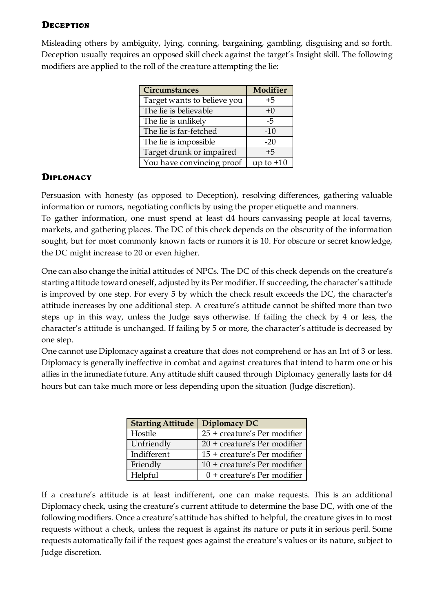#### **Deception**

Misleading others by ambiguity, lying, conning, bargaining, gambling, disguising and so forth. Deception usually requires an opposed skill check against the target's Insight skill. The following modifiers are applied to the roll of the creature attempting the lie:

| <b>Circumstances</b>        | Modifier    |
|-----------------------------|-------------|
| Target wants to believe you | $+5$        |
| The lie is believable       | $+0$        |
| The lie is unlikely         | -5          |
| The lie is far-fetched      | $-10$       |
| The lie is impossible       | $-20$       |
| Target drunk or impaired    | $+5$        |
| You have convincing proof   | up to $+10$ |

#### **Diplomacy**

Persuasion with honesty (as opposed to Deception), resolving differences, gathering valuable information or rumors, negotiating conflicts by using the proper etiquette and manners. To gather information, one must spend at least d4 hours canvassing people at local taverns, markets, and gathering places. The DC of this check depends on the obscurity of the information sought, but for most commonly known facts or rumors it is 10. For obscure or secret knowledge, the DC might increase to 20 or even higher.

One can also change the initial attitudes of NPCs. The DC of this check depends on the creature's starting attitude toward oneself, adjusted by its Per modifier. If succeeding, the character's attitude is improved by one step. For every 5 by which the check result exceeds the DC, the character's attitude increases by one additional step. A creature's attitude cannot be shifted more than two steps up in this way, unless the Judge says otherwise. If failing the check by 4 or less, the character's attitude is unchanged. If failing by 5 or more, the character's attitude is decreased by one step.

One cannot use Diplomacy against a creature that does not comprehend or has an Int of 3 or less. Diplomacy is generally ineffective in combat and against creatures that intend to harm one or his allies in the immediate future. Any attitude shift caused through Diplomacy generally lasts for d4 hours but can take much more or less depending upon the situation (Judge discretion).

| <b>Starting Attitude</b> | Diplomacy DC                   |
|--------------------------|--------------------------------|
| Hostile                  | 25 + creature's Per modifier   |
| Unfriendly               | 20 + creature's Per modifier   |
| Indifferent              | 15 + creature's Per modifier   |
| Friendly                 | $10 +$ creature's Per modifier |
| Helpful                  | $0 +$ creature's Per modifier  |

If a creature's attitude is at least indifferent, one can make requests. This is an additional Diplomacy check, using the creature's current attitude to determine the base DC, with one of the following modifiers. Once a creature's attitude has shifted to helpful, the creature gives in to most requests without a check, unless the request is against its nature or puts it in serious peril. Some requests automatically fail if the request goes against the creature's values or its nature, subject to Judge discretion.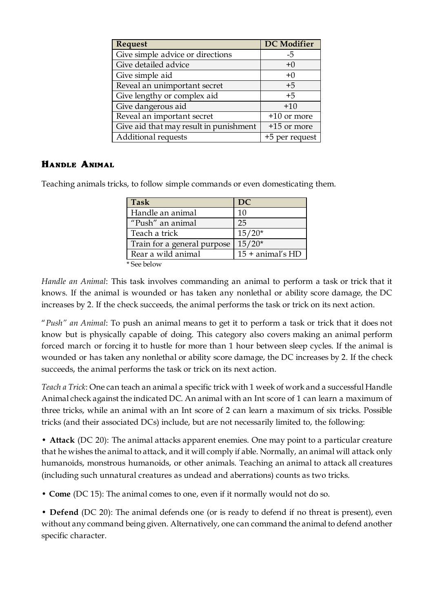| Request                                | <b>DC</b> Modifier |
|----------------------------------------|--------------------|
| Give simple advice or directions       | -5                 |
| Give detailed advice                   | $+0$               |
| Give simple aid                        | $+0$               |
| Reveal an unimportant secret           | $+5$               |
| Give lengthy or complex aid            | $+5$               |
| Give dangerous aid                     | $+10$              |
| Reveal an important secret             | $+10$ or more      |
| Give aid that may result in punishment | +15 or more        |
| Additional requests                    | +5 per request     |

#### **Handle Animal**

Teaching animals tricks, to follow simple commands or even domesticating them.

| <b>Task</b>                 | DC                   |
|-----------------------------|----------------------|
| Handle an animal            | 10                   |
| "Push" an animal            | 25                   |
| Teach a trick               | $15/20*$             |
| Train for a general purpose | $15/20*$             |
| Rear a wild animal          | $15 +$ animal's $HD$ |
| * See below                 |                      |

*Handle an Animal*: This task involves commanding an animal to perform a task or trick that it knows. If the animal is wounded or has taken any nonlethal or ability score damage, the DC increases by 2. If the check succeeds, the animal performs the task or trick on its next action.

"*Push" an Animal*: To push an animal means to get it to perform a task or trick that it does not know but is physically capable of doing. This category also covers making an animal perform forced march or forcing it to hustle for more than 1 hour between sleep cycles. If the animal is wounded or has taken any nonlethal or ability score damage, the DC increases by 2. If the check succeeds, the animal performs the task or trick on its next action.

*Teach a Trick*: One can teach an animal a specific trick with 1 week of work and a successful Handle Animal check against the indicated DC. An animal with an Int score of 1 can learn a maximum of three tricks, while an animal with an Int score of 2 can learn a maximum of six tricks. Possible tricks (and their associated DCs) include, but are not necessarily limited to, the following:

• **Attack** (DC 20): The animal attacks apparent enemies. One may point to a particular creature that he wishes the animal to attack, and it will comply if able. Normally, an animal will attack only humanoids, monstrous humanoids, or other animals. Teaching an animal to attack all creatures (including such unnatural creatures as undead and aberrations) counts as two tricks.

• **Come** (DC 15): The animal comes to one, even if it normally would not do so.

• **Defend** (DC 20): The animal defends one (or is ready to defend if no threat is present), even without any command being given. Alternatively, one can command the animal to defend another specific character.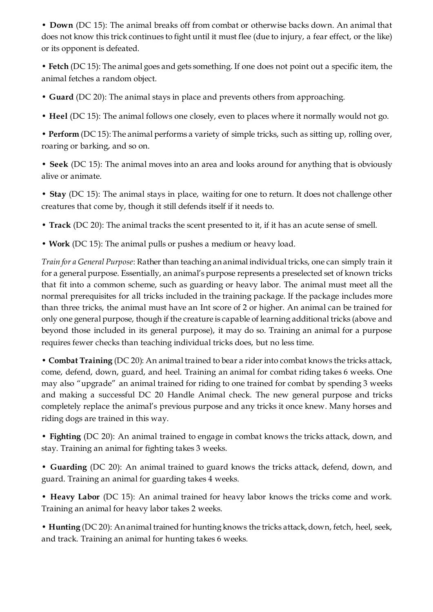• **Down** (DC 15): The animal breaks off from combat or otherwise backs down. An animal that does not know this trick continues to fight until it must flee (due to injury, a fear effect, or the like) or its opponent is defeated.

• **Fetch** (DC 15): The animal goes and gets something. If one does not point out a specific item, the animal fetches a random object.

- **Guard** (DC 20): The animal stays in place and prevents others from approaching.
- **Heel** (DC 15): The animal follows one closely, even to places where it normally would not go.

• **Perform** (DC 15): The animal performs a variety of simple tricks, such as sitting up, rolling over, roaring or barking, and so on.

• **Seek** (DC 15): The animal moves into an area and looks around for anything that is obviously alive or animate.

• **Stay** (DC 15): The animal stays in place, waiting for one to return. It does not challenge other creatures that come by, though it still defends itself if it needs to.

- **Track** (DC 20): The animal tracks the scent presented to it, if it has an acute sense of smell.
- **Work** (DC 15): The animal pulls or pushes a medium or heavy load.

*Train for a General Purpose*: Rather than teaching an animal individual tricks, one can simply train it for a general purpose. Essentially, an animal's purpose represents a preselected set of known tricks that fit into a common scheme, such as guarding or heavy labor. The animal must meet all the normal prerequisites for all tricks included in the training package. If the package includes more than three tricks, the animal must have an Int score of 2 or higher. An animal can be trained for only one general purpose, though if the creature is capable of learning additional tricks (above and beyond those included in its general purpose), it may do so. Training an animal for a purpose requires fewer checks than teaching individual tricks does, but no less time.

• **Combat Training** (DC 20): An animal trained to bear a rider into combat knows the tricks attack, come, defend, down, guard, and heel. Training an animal for combat riding takes 6 weeks. One may also "upgrade" an animal trained for riding to one trained for combat by spending 3 weeks and making a successful DC 20 Handle Animal check. The new general purpose and tricks completely replace the animal's previous purpose and any tricks it once knew. Many horses and riding dogs are trained in this way.

• **Fighting** (DC 20): An animal trained to engage in combat knows the tricks attack, down, and stay. Training an animal for fighting takes 3 weeks.

• **Guarding** (DC 20): An animal trained to guard knows the tricks attack, defend, down, and guard. Training an animal for guarding takes 4 weeks.

• **Heavy Labor** (DC 15): An animal trained for heavy labor knows the tricks come and work. Training an animal for heavy labor takes 2 weeks.

• **Hunting** (DC 20): An animal trained for hunting knows the tricks attack, down, fetch, heel, seek, and track. Training an animal for hunting takes 6 weeks.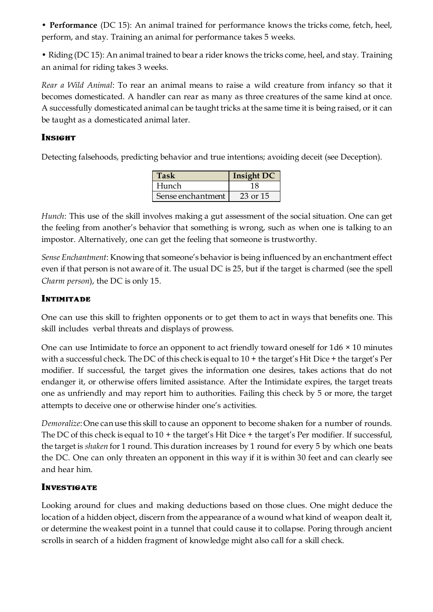• **Performance** (DC 15): An animal trained for performance knows the tricks come, fetch, heel, perform, and stay. Training an animal for performance takes 5 weeks.

• Riding (DC 15): An animal trained to bear a rider knows the tricks come, heel, and stay. Training an animal for riding takes 3 weeks.

*Rear a Wild Animal*: To rear an animal means to raise a wild creature from infancy so that it becomes domesticated. A handler can rear as many as three creatures of the same kind at once. A successfully domesticated animal can be taught tricks at the same time it is being raised, or it can be taught as a domesticated animal later.

#### **Insight**

Detecting falsehoods, predicting behavior and true intentions; avoiding deceit (see Deception).

| Task              | <b>Insight DC</b> |
|-------------------|-------------------|
| Hunch             | 18                |
| Sense enchantment | 23 or 15          |

*Hunch*: This use of the skill involves making a gut assessment of the social situation. One can get the feeling from another's behavior that something is wrong, such as when one is talking to an impostor. Alternatively, one can get the feeling that someone is trustworthy.

*Sense Enchantment*: Knowing that someone's behavior is being influenced by an enchantment effect even if that person is not aware of it. The usual DC is 25, but if the target is charmed (see the spell *Charm person*), the DC is only 15.

#### **INTIMITADE**

One can use this skill to frighten opponents or to get them to act in ways that benefits one. This skill includes verbal threats and displays of prowess.

One can use Intimidate to force an opponent to act friendly toward oneself for  $1d6 \times 10$  minutes with a successful check. The DC of this check is equal to 10 + the target's Hit Dice + the target's Per modifier. If successful, the target gives the information one desires, takes actions that do not endanger it, or otherwise offers limited assistance. After the Intimidate expires, the target treats one as unfriendly and may report him to authorities. Failing this check by 5 or more, the target attempts to deceive one or otherwise hinder one's activities.

*Demoralize*: One can use this skill to cause an opponent to become shaken for a number of rounds. The DC of this check is equal to 10 + the target's Hit Dice + the target's Per modifier. If successful, the target is *shaken* for 1 round. This duration increases by 1 round for every 5 by which one beats the DC. One can only threaten an opponent in this way if it is within 30 feet and can clearly see and hear him.

#### **INVESTIGATE**

Looking around for clues and making deductions based on those clues. One might deduce the location of a hidden object, discern from the appearance of a wound what kind of weapon dealt it, or determine the weakest point in a tunnel that could cause it to collapse. Poring through ancient scrolls in search of a hidden fragment of knowledge might also call for a skill check.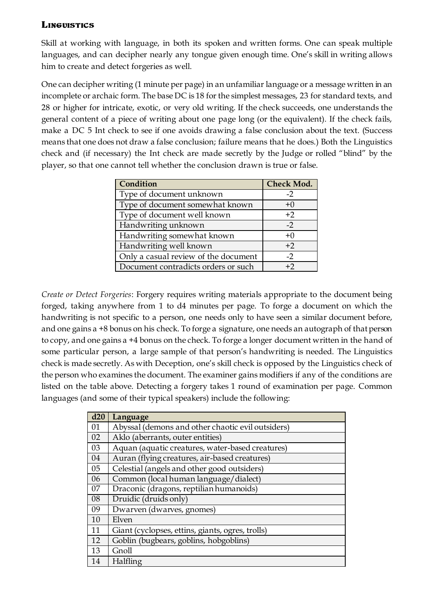#### **Linguistics**

Skill at working with language, in both its spoken and written forms. One can speak multiple languages, and can decipher nearly any tongue given enough time. One's skill in writing allows him to create and detect forgeries as well.

One can decipher writing (1 minute per page) in an unfamiliar language or a message written in an incomplete or archaic form. The base DC is 18 for the simplest messages, 23 for standard texts, and 28 or higher for intricate, exotic, or very old writing. If the check succeeds, one understands the general content of a piece of writing about one page long (or the equivalent). If the check fails, make a DC 5 Int check to see if one avoids drawing a false conclusion about the text. (Success means that one does not draw a false conclusion; failure means that he does.) Both the Linguistics check and (if necessary) the Int check are made secretly by the Judge or rolled "blind" by the player, so that one cannot tell whether the conclusion drawn is true or false.

| Condition                            | <b>Check Mod.</b> |
|--------------------------------------|-------------------|
| Type of document unknown             | $-2$              |
| Type of document somewhat known      | $+0$              |
| Type of document well known          | $+2$              |
| Handwriting unknown                  | $-2$              |
| Handwriting somewhat known           | $+0$              |
| Handwriting well known               | $+2$              |
| Only a casual review of the document | $-2$              |
| Document contradicts orders or such  | $+2$              |

*Create or Detect Forgeries*: Forgery requires writing materials appropriate to the document being forged, taking anywhere from 1 to d4 minutes per page. To forge a document on which the handwriting is not specific to a person, one needs only to have seen a similar document before, and one gains a +8 bonus on his check. To forge a signature, one needs an autograph of that person to copy, and one gains a +4 bonus on the check. To forge a longer document written in the hand of some particular person, a large sample of that person's handwriting is needed. The Linguistics check is made secretly. As with Deception, one's skill check is opposed by the Linguistics check of the person who examines the document. The examiner gains modifiers if any of the conditions are listed on the table above. Detecting a forgery takes 1 round of examination per page. Common languages (and some of their typical speakers) include the following:

| d20 | Language                                          |
|-----|---------------------------------------------------|
| 01  | Abyssal (demons and other chaotic evil outsiders) |
| 02  | Aklo (aberrants, outer entities)                  |
| 03  | Aquan (aquatic creatures, water-based creatures)  |
| 04  | Auran (flying creatures, air-based creatures)     |
| 05  | Celestial (angels and other good outsiders)       |
| 06  | Common (local human language/dialect)             |
| 07  | Draconic (dragons, reptilian humanoids)           |
| 08  | Druidic (druids only)                             |
| 09  | Dwarven (dwarves, gnomes)                         |
| 10  | Elven                                             |
| 11  | Giant (cyclopses, ettins, giants, ogres, trolls)  |
| 12  | Goblin (bugbears, goblins, hobgoblins)            |
| 13  | Gnoll                                             |
| 14  | Halfling                                          |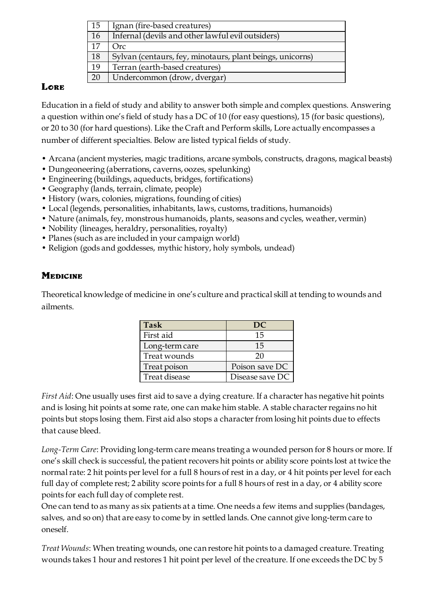| 15 | Ignan (fire-based creatures)                              |
|----|-----------------------------------------------------------|
| 16 | Infernal (devils and other lawful evil outsiders)         |
| 17 | Orc-                                                      |
| 18 | Sylvan (centaurs, fey, minotaurs, plant beings, unicorns) |
| 19 | Terran (earth-based creatures)                            |
| 20 | Undercommon (drow, dvergar)                               |

#### **Lore**

Education in a field of study and ability to answer both simple and complex questions. Answering a question within one's field of study has a DC of 10 (for easy questions), 15 (for basic questions), or 20 to 30 (for hard questions). Like the Craft and Perform skills, Lore actually encompasses a number of different specialties. Below are listed typical fields of study.

- Arcana (ancient mysteries, magic traditions, arcane symbols, constructs, dragons, magical beasts)
- Dungeoneering (aberrations, caverns, oozes, spelunking)
- Engineering (buildings, aqueducts, bridges, fortifications)
- Geography (lands, terrain, climate, people)
- History (wars, colonies, migrations, founding of cities)
- Local (legends, personalities, inhabitants, laws, customs, traditions, humanoids)
- Nature (animals, fey, monstrous humanoids, plants, seasons and cycles, weather, vermin)
- Nobility (lineages, heraldry, personalities, royalty)
- Planes (such as are included in your campaign world)
- Religion (gods and goddesses, mythic history, holy symbols, undead)

# **Medicine**

Theoretical knowledge of medicine in one's culture and practical skill at tending to wounds and ailments.

| <b>Task</b>    | DC.             |
|----------------|-----------------|
| First aid      | 15              |
| Long-term care | 15              |
| Treat wounds   | 20              |
| Treat poison   | Poison save DC  |
| Treat disease  | Disease save DC |

*First Aid*: One usually uses first aid to save a dying creature. If a character has negative hit points and is losing hit points at some rate, one can make him stable. A stable characterregains no hit points but stops losing them. First aid also stops a character from losing hit points due to effects that cause bleed.

*Long-Term Care*: Providing long-term care means treating a wounded person for 8 hours or more. If one's skill check is successful, the patient recovers hit points or ability score points lost at twice the normal rate: 2 hit points per level for a full 8 hours of rest in a day, or 4 hit points per level for each full day of complete rest; 2 ability score points for a full 8 hours of rest in a day, or 4 ability score points for each full day of complete rest.

One can tend to as many as six patients at a time. One needs a few items and supplies (bandages, salves, and so on) that are easy to come by in settled lands. One cannot give long-term care to oneself.

*Treat Wounds*: When treating wounds, one can restore hit points to a damaged creature. Treating wounds takes 1 hour and restores 1 hit point per level of the creature. If one exceeds the DC by 5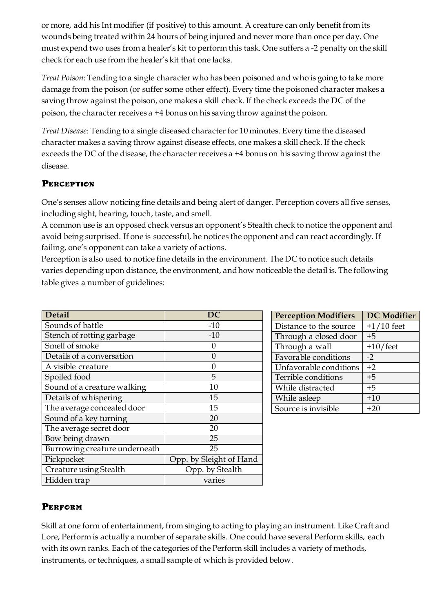or more, add his Int modifier (if positive) to this amount. A creature can only benefit from its wounds being treated within 24 hours of being injured and never more than once per day. One must expend two uses from a healer's kit to perform this task. One suffers a -2 penalty on the skill check for each use from the healer's kit that one lacks.

*Treat Poison*: Tending to a single character who has been poisoned and who is going to take more damage from the poison (or suffer some other effect). Every time the poisoned character makes a saving throw against the poison, one makes a skill check. If the check exceeds the DC of the poison, the character receives a +4 bonus on his saving throw against the poison.

*Treat Disease*: Tending to a single diseased character for 10 minutes. Every time the diseased character makes a saving throw against disease effects, one makes a skill check. If the check exceeds the DC of the disease, the character receives a +4 bonus on his saving throw against the disease.

# **Perception**

One's senses allow noticing fine details and being alert of danger. Perception covers all five senses, including sight, hearing, touch, taste, and smell.

A common use is an opposed check versus an opponent's Stealth check to notice the opponent and avoid being surprised. If one is successful, he notices the opponent and can react accordingly. If failing, one's opponent can take a variety of actions.

Perception is also used to notice fine details in the environment. The DC to notice such details varies depending upon distance, the environment, and how noticeable the detail is. The following table gives a number of guidelines:

| <b>Detail</b>                 | $\overline{DC}$         |
|-------------------------------|-------------------------|
| Sounds of battle              | $-10$                   |
| Stench of rotting garbage     | $-10$                   |
| Smell of smoke                | 0                       |
| Details of a conversation     | $\Omega$                |
| A visible creature            | 0                       |
| Spoiled food                  | 5                       |
| Sound of a creature walking   | 10                      |
| Details of whispering         | 15                      |
| The average concealed door    | 15                      |
| Sound of a key turning        | 20                      |
| The average secret door       | 20                      |
| Bow being drawn               | 25                      |
| Burrowing creature underneath | 25                      |
| Pickpocket                    | Opp. by Sleight of Hand |
| Creature using Stealth        | Opp. by Stealth         |
| Hidden trap                   | varies                  |

| <b>Perception Modifiers</b> | <b>DC</b> Modifier |
|-----------------------------|--------------------|
| Distance to the source      | $+1/10$ feet       |
| Through a closed door       | $+5$               |
| Through a wall              | $+10$ /feet        |
| Favorable conditions        | $-2$               |
| Unfavorable conditions      | $+2$               |
| Terrible conditions         | $+5$               |
| While distracted            | $+5$               |
| While asleep                | $+10$              |
| Source is invisible         | $+20$              |

# **Perform**

Skill at one form of entertainment, from singing to acting to playing an instrument. Like Craft and Lore, Perform is actually a number of separate skills. One could have several Perform skills, each with its own ranks. Each of the categories of the Perform skill includes a variety of methods, instruments, or techniques, a small sample of which is provided below.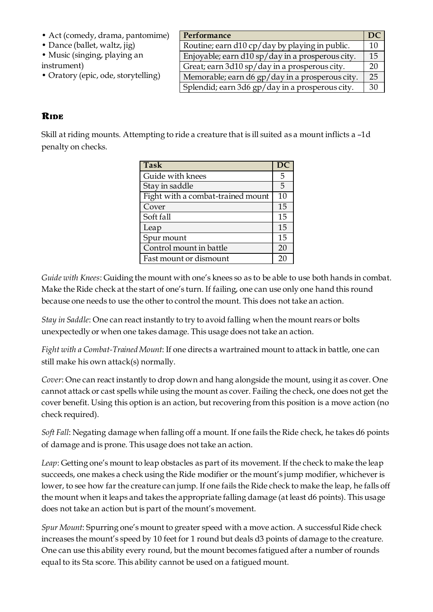- Act (comedy, drama, pantomime)
- Dance (ballet, waltz, jig)
- Music (singing, playing an instrument)
- Oratory (epic, ode, storytelling)

| Performance                                      | DC |
|--------------------------------------------------|----|
| Routine; earn d10 cp/day by playing in public.   | 10 |
| Enjoyable; earn d10 sp/day in a prosperous city. | 15 |
| Great; earn 3d10 sp/day in a prosperous city.    | 20 |
| Memorable; earn d6 gp/day in a prosperous city.  | 25 |
| Splendid; earn 3d6 gp/day in a prosperous city.  | 30 |

#### **Ride**

Skill at riding mounts. Attempting to ride a creature that is ill suited as a mount inflicts a –1d penalty on checks.

| <b>Task</b>                       |    |
|-----------------------------------|----|
| Guide with knees                  | 5  |
| Stay in saddle                    | 5  |
| Fight with a combat-trained mount | 10 |
| Cover                             | 15 |
| Soft fall                         | 15 |
| Leap                              | 15 |
| Spur mount                        | 15 |
| Control mount in battle           | 20 |
| Fast mount or dismount            | 20 |

*Guide with Knees*: Guiding the mount with one's knees so as to be able to use both hands in combat. Make the Ride check at the start of one's turn. If failing, one can use only one hand this round because one needs to use the other to control the mount. This does not take an action.

*Stay in Saddle*: One can react instantly to try to avoid falling when the mount rears or bolts unexpectedly or when one takes damage. This usage does not take an action.

*Fight with a Combat-Trained Mount*: If one directs a wartrained mount to attack in battle, one can still make his own attack(s) normally.

*Cover*: One can react instantly to drop down and hang alongside the mount, using it as cover. One cannot attack or cast spells while using the mount as cover. Failing the check, one does not get the cover benefit. Using this option is an action, but recovering from this position is a move action (no check required).

*Soft Fall*: Negating damage when falling off a mount. If one fails the Ride check, he takes d6 points of damage and is prone. This usage does not take an action.

*Leap*: Getting one's mount to leap obstacles as part of its movement. If the check to make the leap succeeds, one makes a check using the Ride modifier or the mount's jump modifier, whichever is lower, to see how far the creature can jump. If one fails the Ride check to make the leap, he falls off the mount when it leaps and takes the appropriate falling damage (at least d6 points). This usage does not take an action but is part of the mount's movement.

*Spur Mount*: Spurring one's mount to greater speed with a move action. A successful Ride check increases the mount's speed by 10 feet for 1 round but deals d3 points of damage to the creature. One can use this ability every round, but the mount becomes fatigued after a number of rounds equal to its Sta score. This ability cannot be used on a fatigued mount.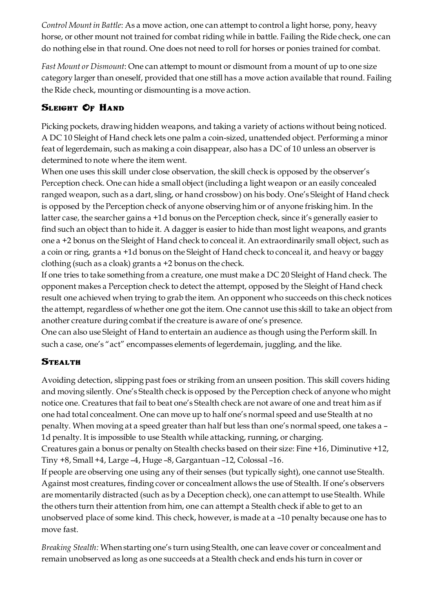*Control Mount in Battle*: As a move action, one can attempt to control a light horse, pony, heavy horse, or other mount not trained for combat riding while in battle. Failing the Ride check, one can do nothing else in that round. One does not need to roll for horses or ponies trained for combat.

*Fast Mount or Dismount*: One can attempt to mount or dismount from a mount of up to one size category larger than oneself, provided that one still has a move action available that round. Failing the Ride check, mounting or dismounting is a move action.

# **Sleight Of Hand**

Picking pockets, drawing hidden weapons, and taking a variety of actions without being noticed. A DC 10 Sleight of Hand check lets one palm a coin-sized, unattended object. Performing a minor feat of legerdemain, such as making a coin disappear, also has a DC of 10 unless an observer is determined to note where the item went.

When one uses this skill under close observation, the skill check is opposed by the observer's Perception check. One can hide a small object (including a light weapon or an easily concealed ranged weapon, such as a dart, sling, or hand crossbow) on his body. One's Sleight of Hand check is opposed by the Perception check of anyone observing him or of anyone frisking him. In the latter case, the searcher gains a +1d bonus on the Perception check, since it's generally easier to find such an object than to hide it. A dagger is easier to hide than most light weapons, and grants one a +2 bonus on the Sleight of Hand check to conceal it. An extraordinarily small object, such as a coin or ring, grants a +1d bonus on the Sleight of Hand check to conceal it, and heavy or baggy clothing (such as a cloak) grants a +2 bonus on the check.

If one tries to take something from a creature, one must make a DC 20 Sleight of Hand check. The opponent makes a Perception check to detect the attempt, opposed by the Sleight of Hand check result one achieved when trying to grab the item. An opponent who succeeds on this check notices the attempt, regardless of whether one got the item. One cannot use this skill to take an object from another creature during combat if the creature is aware of one's presence.

One can also use Sleight of Hand to entertain an audience as though using the Perform skill. In such a case, one's "act" encompasses elements of legerdemain, juggling, and the like.

# **Stealth**

Avoiding detection, slipping past foes or striking from an unseen position. This skill covers hiding and moving silently. One's Stealth check is opposed by the Perception check of anyone who might notice one. Creatures that fail to beat one's Stealth check are not aware of one and treat him as if one had total concealment. One can move up to half one's normal speed and use Stealth at no penalty. When moving at a speed greater than half but less than one's normal speed, one takes a – 1d penalty. It is impossible to use Stealth while attacking, running, or charging.

Creatures gain a bonus or penalty on Stealth checks based on their size: Fine +16, Diminutive +12, Tiny +8, Small +4, Large –4, Huge –8, Gargantuan –12, Colossal –16.

If people are observing one using any of their senses (but typically sight), one cannot use Stealth. Against most creatures, finding cover or concealment allows the use of Stealth. If one's observers are momentarily distracted (such as by a Deception check), one can attempt to use Stealth. While the others turn their attention from him, one can attempt a Stealth check if able to get to an unobserved place of some kind. This check, however, is made at a –10 penalty because one has to move fast.

*Breaking Stealth:* When starting one's turn using Stealth, one can leave cover or concealment and remain unobserved as long as one succeeds at a Stealth check and ends his turn in cover or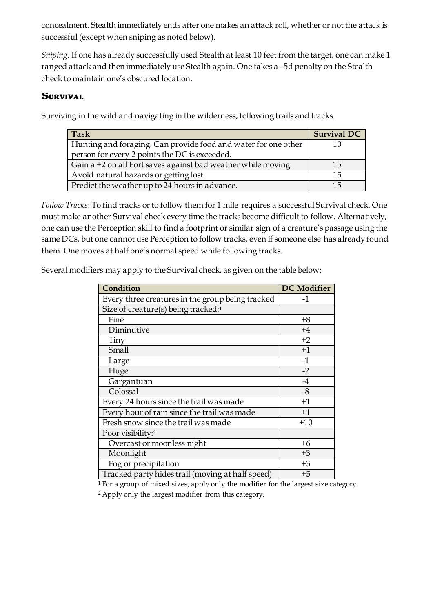concealment. Stealth immediately ends after one makes an attack roll, whether or not the attack is successful (except when sniping as noted below).

*Sniping:* If one has already successfully used Stealth at least 10 feet from the target, one can make 1 ranged attack and then immediately use Stealth again. One takes a –5d penalty on the Stealth check to maintain one's obscured location.

#### **Survival**

Surviving in the wild and navigating in the wilderness; following trails and tracks.

| Task                                                           | <b>Survival DC</b> |
|----------------------------------------------------------------|--------------------|
| Hunting and foraging. Can provide food and water for one other |                    |
| person for every 2 points the DC is exceeded.                  |                    |
| Gain a +2 on all Fort saves against bad weather while moving.  | 15                 |
| Avoid natural hazards or getting lost.                         | 15                 |
| Predict the weather up to 24 hours in advance.                 | 15                 |

*Follow Tracks*: To find tracks or to follow them for 1 mile requires a successful Survival check. One must make another Survival check every time the tracks become difficult to follow. Alternatively, one can use the Perception skill to find a footprint or similar sign of a creature's passage using the same DCs, but one cannot use Perception to follow tracks, even if someone else has already found them. One moves at half one's normal speed while following tracks.

Several modifiers may apply to the Survival check, as given on the table below:

| Condition                                        | <b>DC</b> Modifier |
|--------------------------------------------------|--------------------|
| Every three creatures in the group being tracked | $-1$               |
| Size of creature(s) being tracked:1              |                    |
| Fine                                             | $+8$               |
| Diminutive                                       | $+4$               |
| Tiny                                             | $+2$               |
| Small                                            | $+1$               |
| Large                                            | $-1$               |
| Huge                                             | $-2$               |
| Gargantuan                                       | $-4$               |
| Colossal                                         | $-8$               |
| Every 24 hours since the trail was made          | $+1$               |
| Every hour of rain since the trail was made      | $+1$               |
| Fresh snow since the trail was made              | $+10$              |
| Poor visibility:2                                |                    |
| Overcast or moonless night                       | $+6$               |
| Moonlight                                        | $+3$               |
| Fog or precipitation                             | $+3$               |
| Tracked party hides trail (moving at half speed) | $+5$               |

<sup>1</sup>For a group of mixed sizes, apply only the modifier for the largest size category.

2 Apply only the largest modifier from this category.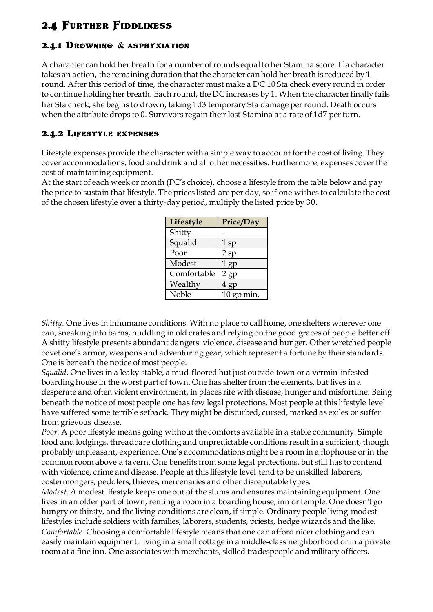# **2.4 Further Fiddliness**

#### **2.4.1 Drowning & asphyxiation**

A character can hold her breath for a number of rounds equal to her Stamina score. If a character takes an action, the remaining duration that the character can hold her breath is reduced by 1 round. After this period of time, the character must make a DC 10 Sta check every round in order to continue holding her breath. Each round, the DC increases by 1. When the character finally fails her Sta check, she begins to drown, taking 1d3 temporary Sta damage per round. Death occurs when the attribute drops to 0. Survivors regain their lost Stamina at a rate of 1d7 per turn.

#### **2.4.2 Lifestyle expenses**

Lifestyle expenses provide the character with a simple way to account for the cost of living. They cover accommodations, food and drink and all other necessities. Furthermore, expenses cover the cost of maintaining equipment.

At the start of each week or month (PC's choice), choose a lifestyle from the table below and pay the price to sustain that lifestyle. The prices listed are per day, so if one wishes to calculate the cost of the chosen lifestyle over a thirty-day period, multiply the listed price by 30.

| Lifestyle   | Price/Day    |
|-------------|--------------|
| Shitty      |              |
| Squalid     | $1$ sp       |
| Poor        | 2sp          |
| Modest      | $1$ gp       |
| Comfortable | 2 gp         |
| Wealthy     | 4 gp         |
| Noble       | $10$ gp min. |

*Shitty.* One lives in inhumane conditions. With no place to call home, one shelters wherever one can, sneaking into barns, huddling in old crates and relying on the good graces of people better off. A shitty lifestyle presents abundant dangers: violence, disease and hunger. Other wretched people covet one's armor, weapons and adventuring gear, which represent a fortune by their standards. One is beneath the notice of most people.

*Squalid.* One lives in a leaky stable, a mud-floored hut just outside town or a vermin-infested boarding house in the worst part of town. One has shelter from the elements, but lives in a desperate and often violent environment, in places rife with disease, hunger and misfortune. Being beneath the notice of most people one has few legal protections. Most people at this lifestyle level have suffered some terrible setback. They might be disturbed, cursed, marked as exiles or suffer from grievous disease.

*Poor.* A poor lifestyle means going without the comforts available in a stable community. Simple food and lodgings, threadbare clothing and unpredictable conditions result in a sufficient, though probably unpleasant, experience. One's accommodations might be a room in a flophouse or in the common room above a tavern. One benefits from some legal protections, but still has to contend with violence, crime and disease. People at this lifestyle level tend to be unskilled laborers, costermongers, peddlers, thieves, mercenaries and other disreputable types.

*Modest. A* modest lifestyle keeps one out of the slums and ensures maintaining equipment. One lives in an older part of town, renting a room in a boarding house, inn or temple. One doesn't go hungry or thirsty, and the living conditions are clean, if simple. Ordinary people living modest lifestyles include soldiers with families, laborers, students, priests, hedge wizards and the like. *Comfortable.* Choosing a comfortable lifestyle means that one can afford nicer clothing and can easily maintain equipment, living in a small cottage in a middle-class neighborhood or in a private room at a fine inn. One associates with merchants, skilled tradespeople and military officers.